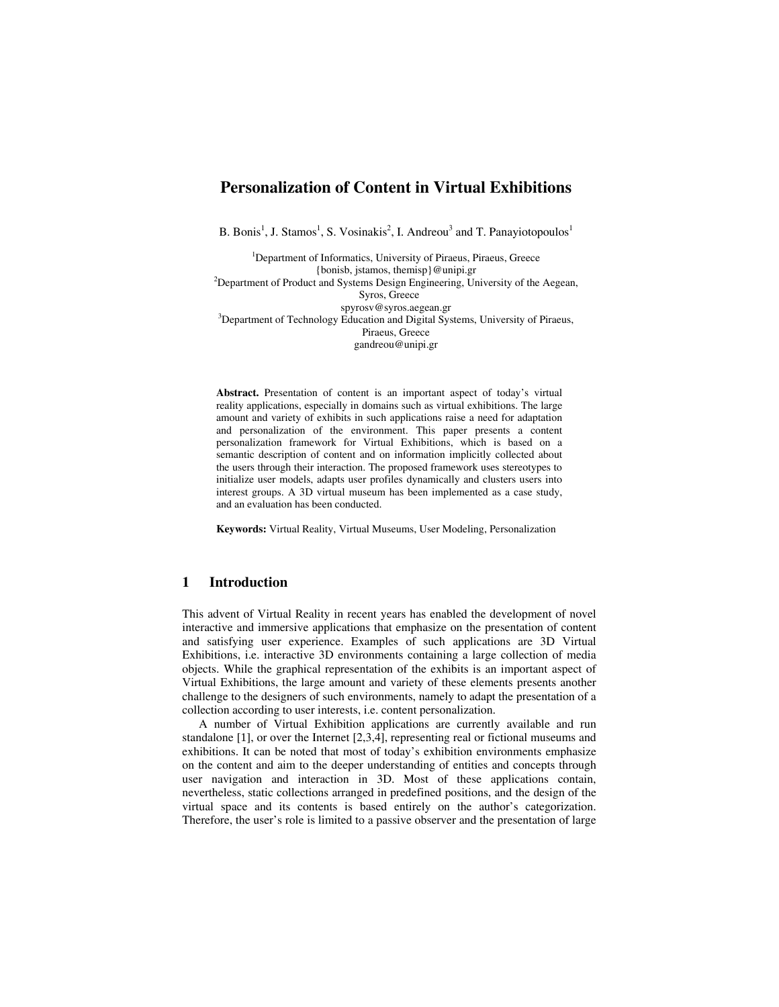# **Personalization of Content in Virtual Exhibitions**

B. Bonis<sup>1</sup>, J. Stamos<sup>1</sup>, S. Vosinakis<sup>2</sup>, I. Andreou<sup>3</sup> and T. Panayiotopoulos<sup>1</sup>

<sup>1</sup>Department of Informatics, University of Piraeus, Piraeus, Greece {bonisb, jstamos, themisp}@unipi.gr 2  $^{2}$ Department of Product and Systems Design Engineering, University of the Aegean, Syros, Greece spyrosv@syros.aegean.gr<br><sup>3</sup>Department of Technology Education and Digital Systems, University of Piraeus, Piraeus, Greece gandreou@unipi.gr

**Abstract.** Presentation of content is an important aspect of today's virtual reality applications, especially in domains such as virtual exhibitions. The large amount and variety of exhibits in such applications raise a need for adaptation and personalization of the environment. This paper presents a content personalization framework for Virtual Exhibitions, which is based on a semantic description of content and on information implicitly collected about the users through their interaction. The proposed framework uses stereotypes to initialize user models, adapts user profiles dynamically and clusters users into interest groups. A 3D virtual museum has been implemented as a case study, and an evaluation has been conducted.

**Keywords:** Virtual Reality, Virtual Museums, User Modeling, Personalization

## **1 Introduction**

This advent of Virtual Reality in recent years has enabled the development of novel interactive and immersive applications that emphasize on the presentation of content and satisfying user experience. Examples of such applications are 3D Virtual Exhibitions, i.e. interactive 3D environments containing a large collection of media objects. While the graphical representation of the exhibits is an important aspect of Virtual Exhibitions, the large amount and variety of these elements presents another challenge to the designers of such environments, namely to adapt the presentation of a collection according to user interests, i.e. content personalization.

 A number of Virtual Exhibition applications are currently available and run standalone [1], or over the Internet [2,3,4], representing real or fictional museums and exhibitions. It can be noted that most of today's exhibition environments emphasize on the content and aim to the deeper understanding of entities and concepts through user navigation and interaction in 3D. Most of these applications contain, nevertheless, static collections arranged in predefined positions, and the design of the virtual space and its contents is based entirely on the author's categorization. Therefore, the user's role is limited to a passive observer and the presentation of large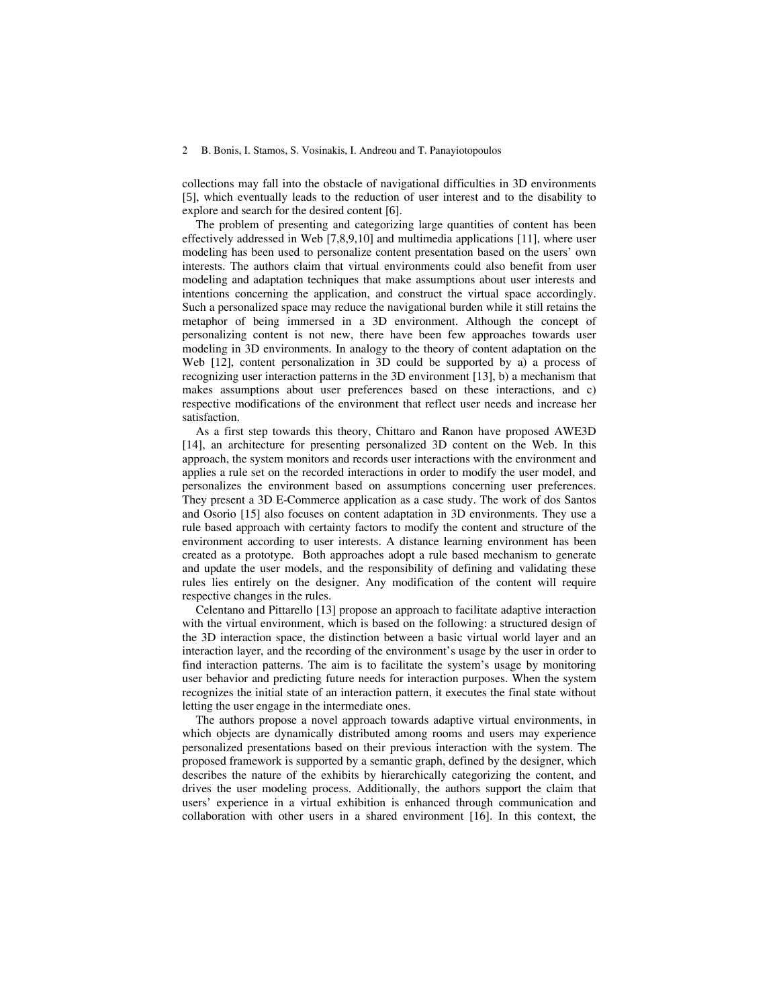#### 2 B. Bonis, I. Stamos, S. Vosinakis, I. Andreou and T. Panayiotopoulos

collections may fall into the obstacle of navigational difficulties in 3D environments [5], which eventually leads to the reduction of user interest and to the disability to explore and search for the desired content [6].

The problem of presenting and categorizing large quantities of content has been effectively addressed in Web [7,8,9,10] and multimedia applications [11], where user modeling has been used to personalize content presentation based on the users' own interests. The authors claim that virtual environments could also benefit from user modeling and adaptation techniques that make assumptions about user interests and intentions concerning the application, and construct the virtual space accordingly. Such a personalized space may reduce the navigational burden while it still retains the metaphor of being immersed in a 3D environment. Although the concept of personalizing content is not new, there have been few approaches towards user modeling in 3D environments. In analogy to the theory of content adaptation on the Web [12], content personalization in 3D could be supported by a) a process of recognizing user interaction patterns in the 3D environment [13], b) a mechanism that makes assumptions about user preferences based on these interactions, and c) respective modifications of the environment that reflect user needs and increase her satisfaction.

As a first step towards this theory, Chittaro and Ranon have proposed AWE3D [14], an architecture for presenting personalized 3D content on the Web. In this approach, the system monitors and records user interactions with the environment and applies a rule set on the recorded interactions in order to modify the user model, and personalizes the environment based on assumptions concerning user preferences. They present a 3D E-Commerce application as a case study. The work of dos Santos and Osorio [15] also focuses on content adaptation in 3D environments. They use a rule based approach with certainty factors to modify the content and structure of the environment according to user interests. A distance learning environment has been created as a prototype. Both approaches adopt a rule based mechanism to generate and update the user models, and the responsibility of defining and validating these rules lies entirely on the designer. Any modification of the content will require respective changes in the rules.

Celentano and Pittarello [13] propose an approach to facilitate adaptive interaction with the virtual environment, which is based on the following: a structured design of the 3D interaction space, the distinction between a basic virtual world layer and an interaction layer, and the recording of the environment's usage by the user in order to find interaction patterns. The aim is to facilitate the system's usage by monitoring user behavior and predicting future needs for interaction purposes. When the system recognizes the initial state of an interaction pattern, it executes the final state without letting the user engage in the intermediate ones.

The authors propose a novel approach towards adaptive virtual environments, in which objects are dynamically distributed among rooms and users may experience personalized presentations based on their previous interaction with the system. The proposed framework is supported by a semantic graph, defined by the designer, which describes the nature of the exhibits by hierarchically categorizing the content, and drives the user modeling process. Additionally, the authors support the claim that users' experience in a virtual exhibition is enhanced through communication and collaboration with other users in a shared environment [16]. In this context, the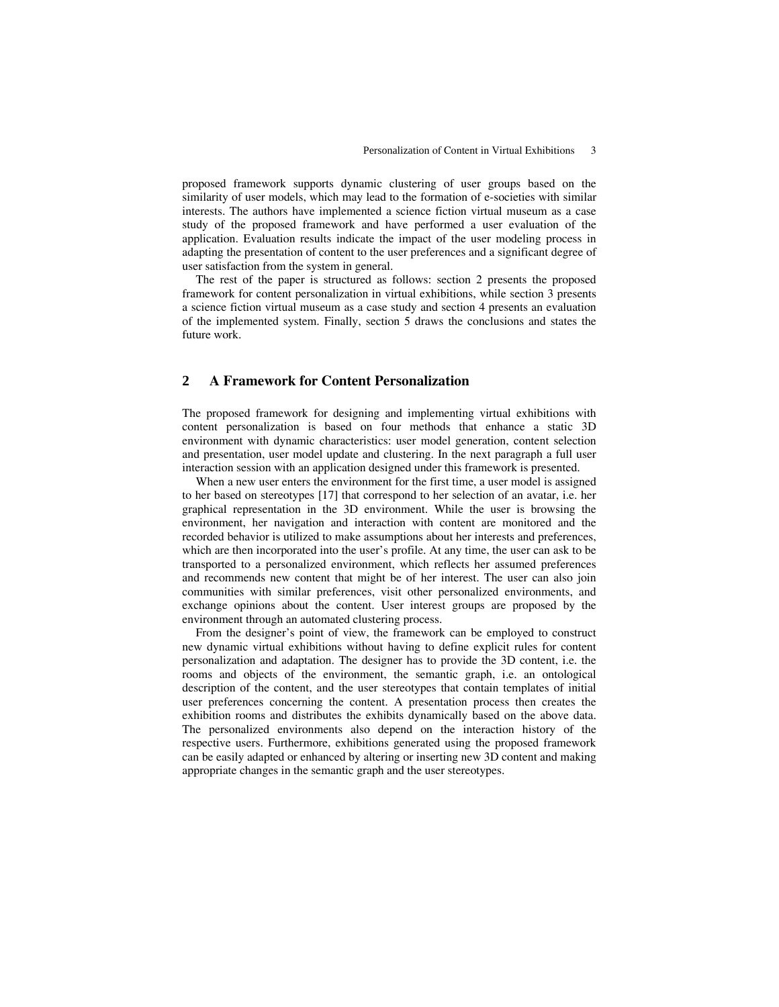proposed framework supports dynamic clustering of user groups based on the similarity of user models, which may lead to the formation of e-societies with similar interests. The authors have implemented a science fiction virtual museum as a case study of the proposed framework and have performed a user evaluation of the application. Evaluation results indicate the impact of the user modeling process in adapting the presentation of content to the user preferences and a significant degree of user satisfaction from the system in general.

The rest of the paper is structured as follows: section 2 presents the proposed framework for content personalization in virtual exhibitions, while section 3 presents a science fiction virtual museum as a case study and section 4 presents an evaluation of the implemented system. Finally, section 5 draws the conclusions and states the future work.

## **2 A Framework for Content Personalization**

The proposed framework for designing and implementing virtual exhibitions with content personalization is based on four methods that enhance a static 3D environment with dynamic characteristics: user model generation, content selection and presentation, user model update and clustering. In the next paragraph a full user interaction session with an application designed under this framework is presented.

When a new user enters the environment for the first time, a user model is assigned to her based on stereotypes [17] that correspond to her selection of an avatar, i.e. her graphical representation in the 3D environment. While the user is browsing the environment, her navigation and interaction with content are monitored and the recorded behavior is utilized to make assumptions about her interests and preferences, which are then incorporated into the user's profile. At any time, the user can ask to be transported to a personalized environment, which reflects her assumed preferences and recommends new content that might be of her interest. The user can also join communities with similar preferences, visit other personalized environments, and exchange opinions about the content. User interest groups are proposed by the environment through an automated clustering process.

From the designer's point of view, the framework can be employed to construct new dynamic virtual exhibitions without having to define explicit rules for content personalization and adaptation. The designer has to provide the 3D content, i.e. the rooms and objects of the environment, the semantic graph, i.e. an ontological description of the content, and the user stereotypes that contain templates of initial user preferences concerning the content. A presentation process then creates the exhibition rooms and distributes the exhibits dynamically based on the above data. The personalized environments also depend on the interaction history of the respective users. Furthermore, exhibitions generated using the proposed framework can be easily adapted or enhanced by altering or inserting new 3D content and making appropriate changes in the semantic graph and the user stereotypes.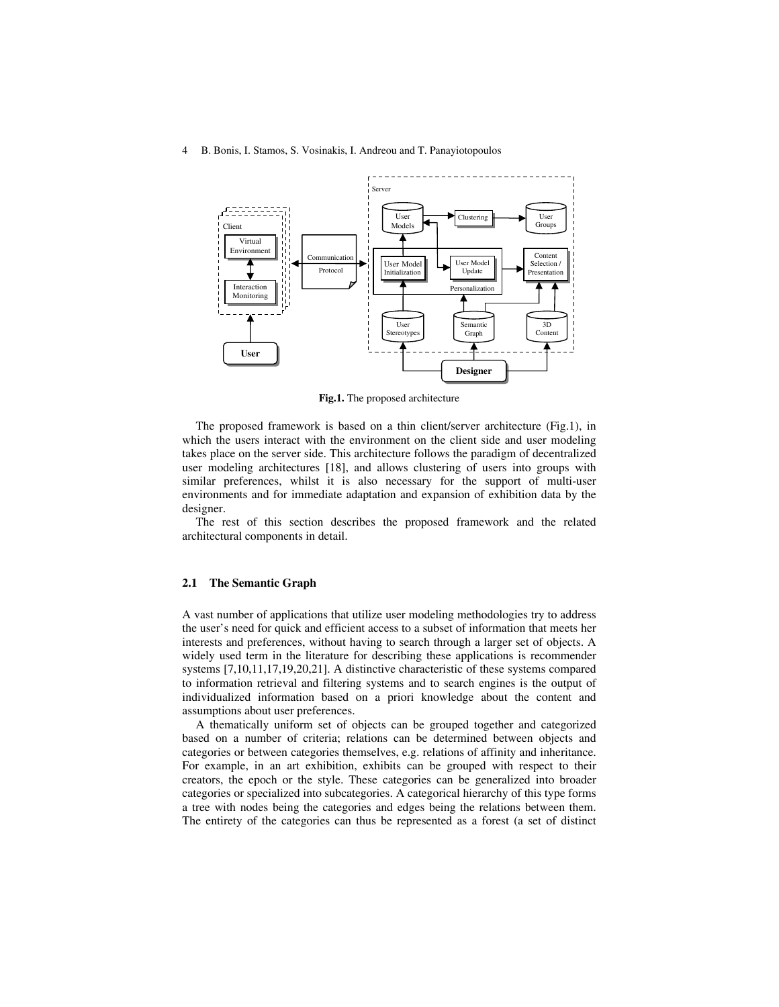#### 4 B. Bonis, I. Stamos, S. Vosinakis, I. Andreou and T. Panayiotopoulos



**Fig.1.** The proposed architecture

The proposed framework is based on a thin client/server architecture (Fig.1), in which the users interact with the environment on the client side and user modeling takes place on the server side. This architecture follows the paradigm of decentralized user modeling architectures [18], and allows clustering of users into groups with similar preferences, whilst it is also necessary for the support of multi-user environments and for immediate adaptation and expansion of exhibition data by the designer.

The rest of this section describes the proposed framework and the related architectural components in detail.

#### **2.1 The Semantic Graph**

A vast number of applications that utilize user modeling methodologies try to address the user's need for quick and efficient access to a subset of information that meets her interests and preferences, without having to search through a larger set of objects. A widely used term in the literature for describing these applications is recommender systems [7,10,11,17,19,20,21]. A distinctive characteristic of these systems compared to information retrieval and filtering systems and to search engines is the output of individualized information based on a priori knowledge about the content and assumptions about user preferences.

A thematically uniform set of objects can be grouped together and categorized based on a number of criteria; relations can be determined between objects and categories or between categories themselves, e.g. relations of affinity and inheritance. For example, in an art exhibition, exhibits can be grouped with respect to their creators, the epoch or the style. These categories can be generalized into broader categories or specialized into subcategories. A categorical hierarchy of this type forms a tree with nodes being the categories and edges being the relations between them. The entirety of the categories can thus be represented as a forest (a set of distinct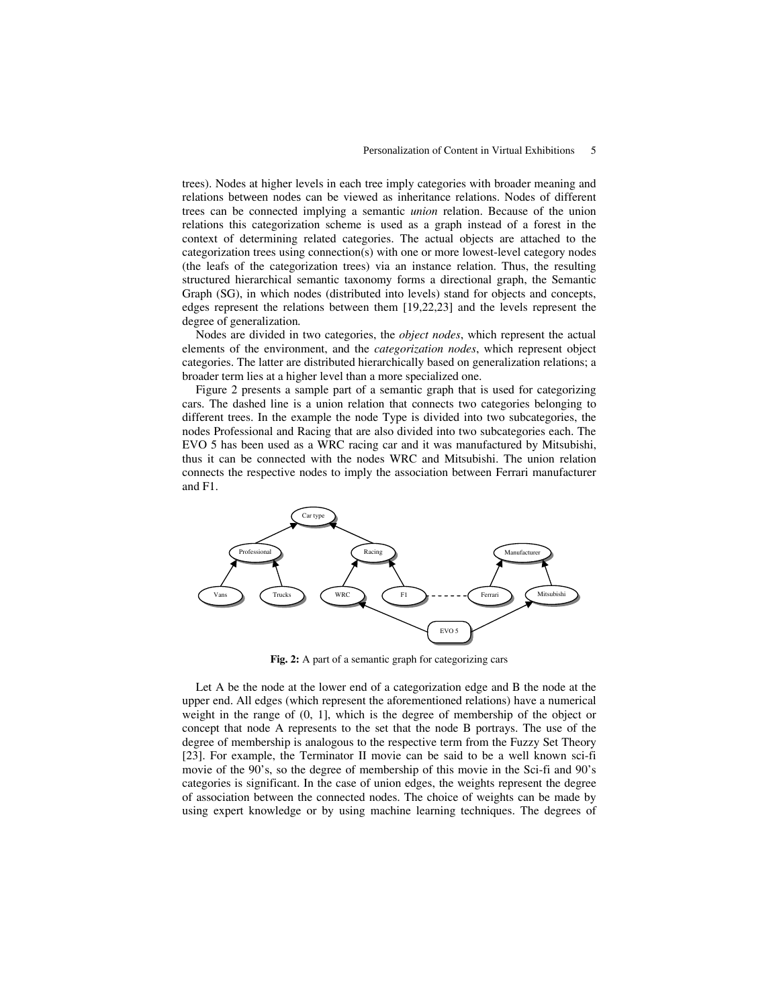trees). Nodes at higher levels in each tree imply categories with broader meaning and relations between nodes can be viewed as inheritance relations. Nodes of different trees can be connected implying a semantic *union* relation. Because of the union relations this categorization scheme is used as a graph instead of a forest in the context of determining related categories. The actual objects are attached to the categorization trees using connection(s) with one or more lowest-level category nodes (the leafs of the categorization trees) via an instance relation. Thus, the resulting structured hierarchical semantic taxonomy forms a directional graph, the Semantic Graph (SG), in which nodes (distributed into levels) stand for objects and concepts, edges represent the relations between them [19,22,23] and the levels represent the degree of generalization*.*

Nodes are divided in two categories, the *object nodes*, which represent the actual elements of the environment, and the *categorization nodes*, which represent object categories. The latter are distributed hierarchically based on generalization relations; a broader term lies at a higher level than a more specialized one.

Figure 2 presents a sample part of a semantic graph that is used for categorizing cars. The dashed line is a union relation that connects two categories belonging to different trees. In the example the node Type is divided into two subcategories, the nodes Professional and Racing that are also divided into two subcategories each. The EVO 5 has been used as a WRC racing car and it was manufactured by Mitsubishi, thus it can be connected with the nodes WRC and Mitsubishi. The union relation connects the respective nodes to imply the association between Ferrari manufacturer and F1.



**Fig. 2:** A part of a semantic graph for categorizing cars

Let A be the node at the lower end of a categorization edge and B the node at the upper end. All edges (which represent the aforementioned relations) have a numerical weight in the range of (0, 1], which is the degree of membership of the object or concept that node A represents to the set that the node B portrays. The use of the degree of membership is analogous to the respective term from the Fuzzy Set Theory [23]. For example, the Terminator II movie can be said to be a well known sci-fi movie of the 90's, so the degree of membership of this movie in the Sci-fi and 90's categories is significant. In the case of union edges, the weights represent the degree of association between the connected nodes. The choice of weights can be made by using expert knowledge or by using machine learning techniques. The degrees of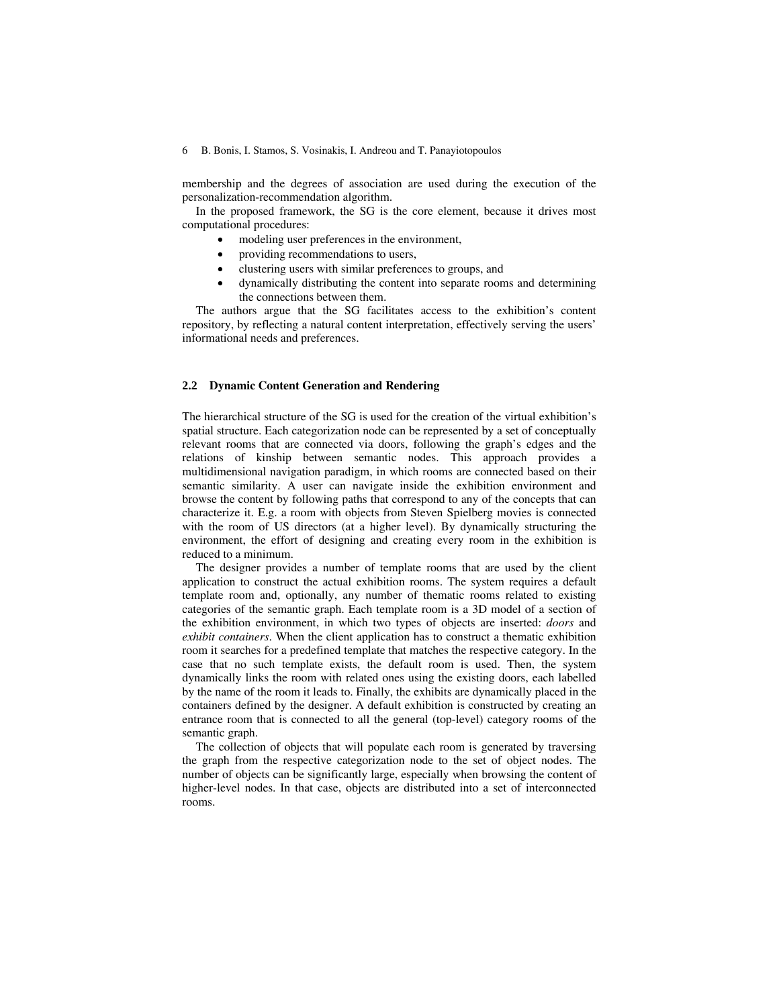membership and the degrees of association are used during the execution of the personalization-recommendation algorithm.

In the proposed framework, the SG is the core element, because it drives most computational procedures:

- modeling user preferences in the environment,
- providing recommendations to users,
- clustering users with similar preferences to groups, and
- dynamically distributing the content into separate rooms and determining the connections between them.

The authors argue that the SG facilitates access to the exhibition's content repository, by reflecting a natural content interpretation, effectively serving the users' informational needs and preferences.

### **2.2 Dynamic Content Generation and Rendering**

The hierarchical structure of the SG is used for the creation of the virtual exhibition's spatial structure. Each categorization node can be represented by a set of conceptually relevant rooms that are connected via doors, following the graph's edges and the relations of kinship between semantic nodes. This approach provides a multidimensional navigation paradigm, in which rooms are connected based on their semantic similarity. A user can navigate inside the exhibition environment and browse the content by following paths that correspond to any of the concepts that can characterize it. E.g. a room with objects from Steven Spielberg movies is connected with the room of US directors (at a higher level). By dynamically structuring the environment, the effort of designing and creating every room in the exhibition is reduced to a minimum.

The designer provides a number of template rooms that are used by the client application to construct the actual exhibition rooms. The system requires a default template room and, optionally, any number of thematic rooms related to existing categories of the semantic graph. Each template room is a 3D model of a section of the exhibition environment, in which two types of objects are inserted: *doors* and *exhibit containers*. When the client application has to construct a thematic exhibition room it searches for a predefined template that matches the respective category. In the case that no such template exists, the default room is used. Then, the system dynamically links the room with related ones using the existing doors, each labelled by the name of the room it leads to. Finally, the exhibits are dynamically placed in the containers defined by the designer. A default exhibition is constructed by creating an entrance room that is connected to all the general (top-level) category rooms of the semantic graph.

The collection of objects that will populate each room is generated by traversing the graph from the respective categorization node to the set of object nodes. The number of objects can be significantly large, especially when browsing the content of higher-level nodes. In that case, objects are distributed into a set of interconnected rooms.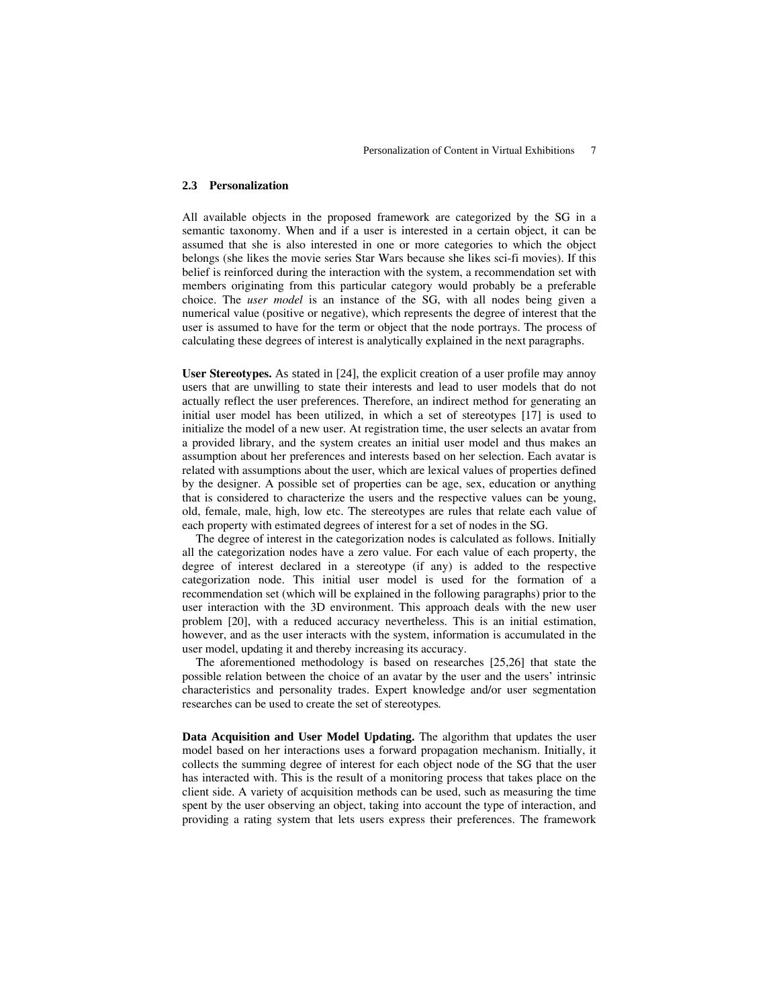### **2.3 Personalization**

All available objects in the proposed framework are categorized by the SG in a semantic taxonomy. When and if a user is interested in a certain object, it can be assumed that she is also interested in one or more categories to which the object belongs (she likes the movie series Star Wars because she likes sci-fi movies). If this belief is reinforced during the interaction with the system, a recommendation set with members originating from this particular category would probably be a preferable choice. The *user model* is an instance of the SG, with all nodes being given a numerical value (positive or negative), which represents the degree of interest that the user is assumed to have for the term or object that the node portrays. The process of calculating these degrees of interest is analytically explained in the next paragraphs.

**User Stereotypes.** As stated in [24], the explicit creation of a user profile may annoy users that are unwilling to state their interests and lead to user models that do not actually reflect the user preferences. Therefore, an indirect method for generating an initial user model has been utilized, in which a set of stereotypes [17] is used to initialize the model of a new user. At registration time, the user selects an avatar from a provided library, and the system creates an initial user model and thus makes an assumption about her preferences and interests based on her selection. Each avatar is related with assumptions about the user, which are lexical values of properties defined by the designer. A possible set of properties can be age, sex, education or anything that is considered to characterize the users and the respective values can be young, old, female, male, high, low etc. The stereotypes are rules that relate each value of each property with estimated degrees of interest for a set of nodes in the SG.

The degree of interest in the categorization nodes is calculated as follows. Initially all the categorization nodes have a zero value. For each value of each property, the degree of interest declared in a stereotype (if any) is added to the respective categorization node. This initial user model is used for the formation of a recommendation set (which will be explained in the following paragraphs) prior to the user interaction with the 3D environment. This approach deals with the new user problem [20], with a reduced accuracy nevertheless. This is an initial estimation, however, and as the user interacts with the system, information is accumulated in the user model, updating it and thereby increasing its accuracy.

The aforementioned methodology is based on researches [25,26] that state the possible relation between the choice of an avatar by the user and the users' intrinsic characteristics and personality trades. Expert knowledge and/or user segmentation researches can be used to create the set of stereotypes*.* 

**Data Acquisition and User Model Updating.** The algorithm that updates the user model based on her interactions uses a forward propagation mechanism. Initially, it collects the summing degree of interest for each object node of the SG that the user has interacted with. This is the result of a monitoring process that takes place on the client side. A variety of acquisition methods can be used, such as measuring the time spent by the user observing an object, taking into account the type of interaction, and providing a rating system that lets users express their preferences. The framework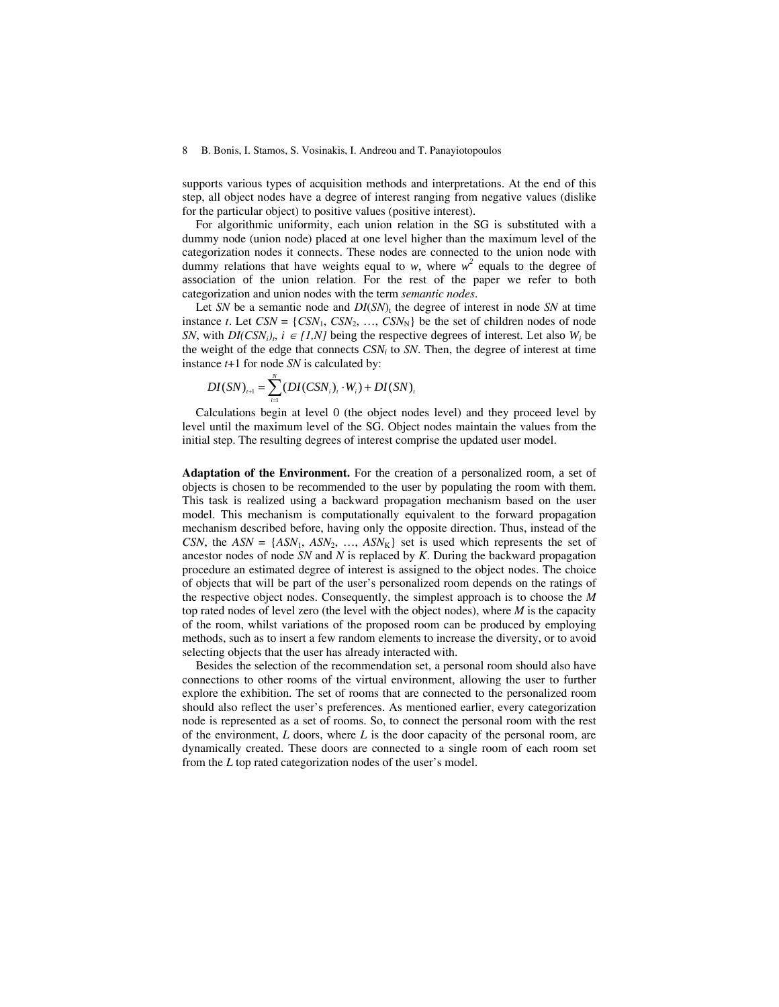#### 8 B. Bonis, I. Stamos, S. Vosinakis, I. Andreou and T. Panayiotopoulos

supports various types of acquisition methods and interpretations. At the end of this step, all object nodes have a degree of interest ranging from negative values (dislike for the particular object) to positive values (positive interest).

For algorithmic uniformity, each union relation in the SG is substituted with a dummy node (union node) placed at one level higher than the maximum level of the categorization nodes it connects. These nodes are connected to the union node with dummy relations that have weights equal to *w*, where  $w^2$  equals to the degree of association of the union relation. For the rest of the paper we refer to both categorization and union nodes with the term *semantic nodes*.

Let *SN* be a semantic node and  $DI(SN)$ <sub>t</sub> the degree of interest in node *SN* at time instance *t*. Let  $CSN = \{CSN_1, CSN_2, ..., CSN_N\}$  be the set of children nodes of node *SN*, with *DI(CSN<sub>i</sub>)*,  $i \in [1, N]$  being the respective degrees of interest. Let also  $W_i$  be the weight of the edge that connects *CSNi* to *SN*. Then, the degree of interest at time instance *t*+1 for node *SN* is calculated by:

$$
DI(SN)_{_{t+1}} = \sum_{i=1}^{N} (DI(CSN_{i})_{_{t}} \cdot W_{i}) + DI(SN)_{_{t}}
$$

Calculations begin at level 0 (the object nodes level) and they proceed level by level until the maximum level of the SG. Object nodes maintain the values from the initial step. The resulting degrees of interest comprise the updated user model.

**Adaptation of the Environment.** For the creation of a personalized room, a set of objects is chosen to be recommended to the user by populating the room with them. This task is realized using a backward propagation mechanism based on the user model. This mechanism is computationally equivalent to the forward propagation mechanism described before, having only the opposite direction. Thus, instead of the *CSN*, the  $ASN = \{ASN_1, ASN_2, \ldots, ASN_k\}$  set is used which represents the set of ancestor nodes of node *SN* and *N* is replaced by *K*. During the backward propagation procedure an estimated degree of interest is assigned to the object nodes. The choice of objects that will be part of the user's personalized room depends on the ratings of the respective object nodes. Consequently, the simplest approach is to choose the *M* top rated nodes of level zero (the level with the object nodes), where *M* is the capacity of the room, whilst variations of the proposed room can be produced by employing methods, such as to insert a few random elements to increase the diversity, or to avoid selecting objects that the user has already interacted with.

Besides the selection of the recommendation set, a personal room should also have connections to other rooms of the virtual environment, allowing the user to further explore the exhibition. The set of rooms that are connected to the personalized room should also reflect the user's preferences. As mentioned earlier, every categorization node is represented as a set of rooms. So, to connect the personal room with the rest of the environment, *L* doors, where *L* is the door capacity of the personal room, are dynamically created. These doors are connected to a single room of each room set from the *L* top rated categorization nodes of the user's model.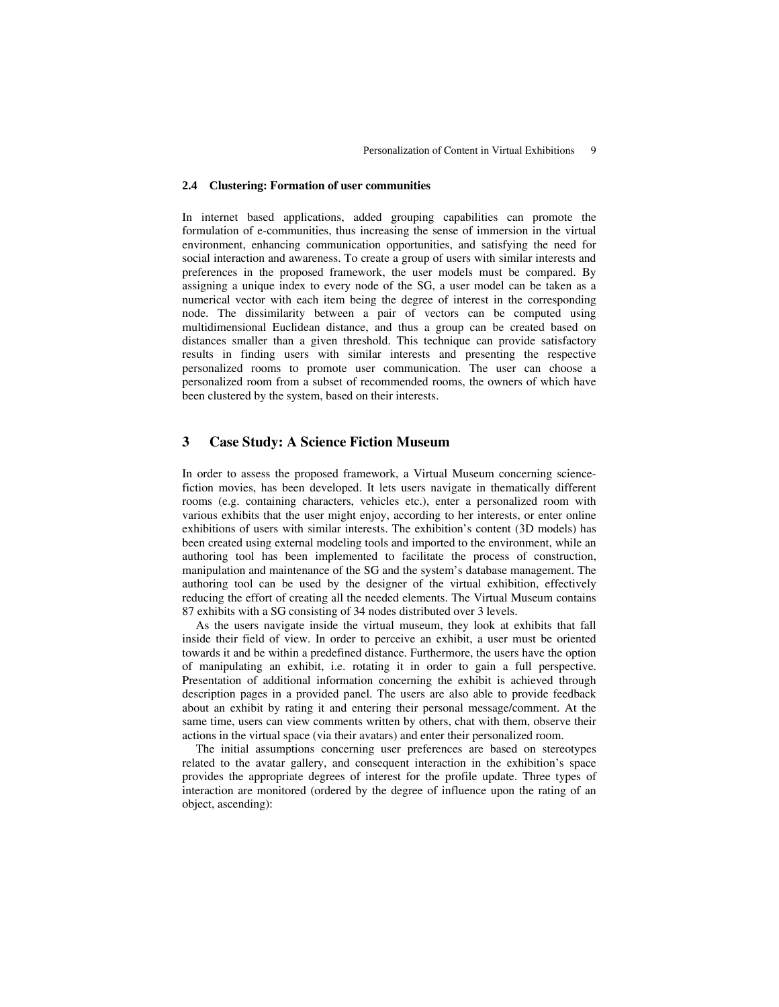### **2.4 Clustering: Formation of user communities**

In internet based applications, added grouping capabilities can promote the formulation of e-communities, thus increasing the sense of immersion in the virtual environment, enhancing communication opportunities, and satisfying the need for social interaction and awareness. To create a group of users with similar interests and preferences in the proposed framework, the user models must be compared. By assigning a unique index to every node of the SG, a user model can be taken as a numerical vector with each item being the degree of interest in the corresponding node. The dissimilarity between a pair of vectors can be computed using multidimensional Euclidean distance, and thus a group can be created based on distances smaller than a given threshold. This technique can provide satisfactory results in finding users with similar interests and presenting the respective personalized rooms to promote user communication. The user can choose a personalized room from a subset of recommended rooms, the owners of which have been clustered by the system, based on their interests.

## **3 Case Study: A Science Fiction Museum**

In order to assess the proposed framework, a Virtual Museum concerning sciencefiction movies, has been developed. It lets users navigate in thematically different rooms (e.g. containing characters, vehicles etc.), enter a personalized room with various exhibits that the user might enjoy, according to her interests, or enter online exhibitions of users with similar interests. The exhibition's content (3D models) has been created using external modeling tools and imported to the environment, while an authoring tool has been implemented to facilitate the process of construction, manipulation and maintenance of the SG and the system's database management. The authoring tool can be used by the designer of the virtual exhibition, effectively reducing the effort of creating all the needed elements. The Virtual Museum contains 87 exhibits with a SG consisting of 34 nodes distributed over 3 levels.

As the users navigate inside the virtual museum, they look at exhibits that fall inside their field of view. In order to perceive an exhibit, a user must be oriented towards it and be within a predefined distance. Furthermore, the users have the option of manipulating an exhibit, i.e. rotating it in order to gain a full perspective. Presentation of additional information concerning the exhibit is achieved through description pages in a provided panel. The users are also able to provide feedback about an exhibit by rating it and entering their personal message/comment. At the same time, users can view comments written by others, chat with them, observe their actions in the virtual space (via their avatars) and enter their personalized room.

The initial assumptions concerning user preferences are based on stereotypes related to the avatar gallery, and consequent interaction in the exhibition's space provides the appropriate degrees of interest for the profile update. Three types of interaction are monitored (ordered by the degree of influence upon the rating of an object, ascending):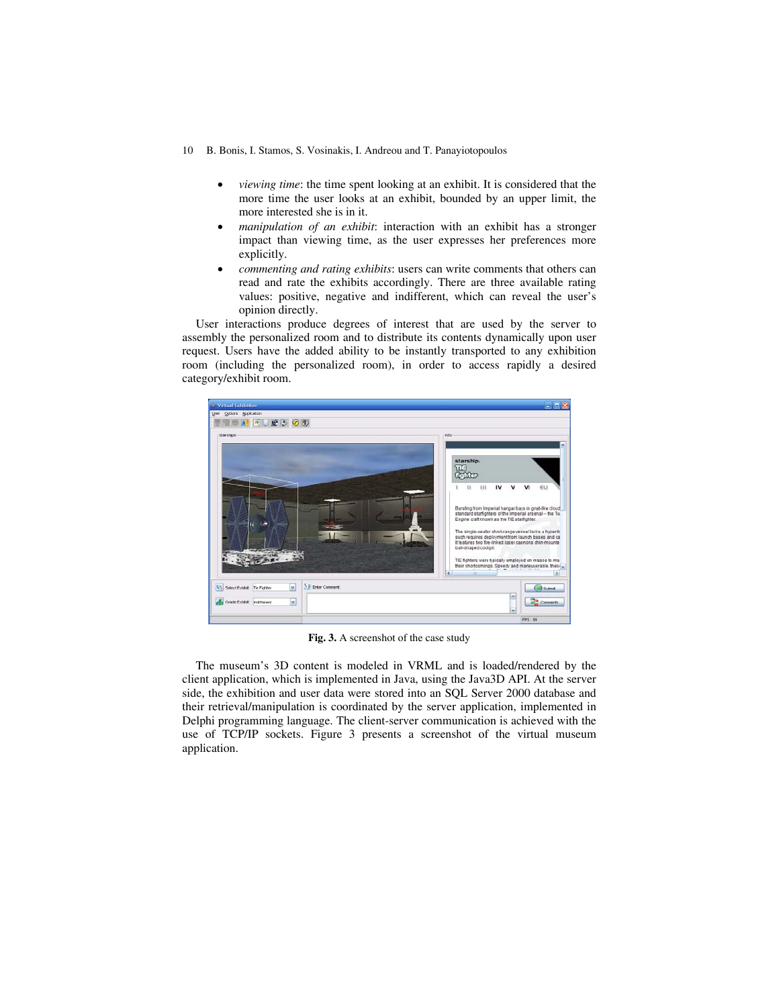- 10 B. Bonis, I. Stamos, S. Vosinakis, I. Andreou and T. Panayiotopoulos
	- *viewing time*: the time spent looking at an exhibit. It is considered that the more time the user looks at an exhibit, bounded by an upper limit, the more interested she is in it.
	- *manipulation of an exhibit*: interaction with an exhibit has a stronger impact than viewing time, as the user expresses her preferences more explicitly.
	- *commenting and rating exhibits*: users can write comments that others can read and rate the exhibits accordingly. There are three available rating values: positive, negative and indifferent, which can reveal the user's opinion directly.

User interactions produce degrees of interest that are used by the server to assembly the personalized room and to distribute its contents dynamically upon user request. Users have the added ability to be instantly transported to any exhibition room (including the personalized room), in order to access rapidly a desired category/exhibit room.



**Fig. 3.** A screenshot of the case study

The museum's 3D content is modeled in VRML and is loaded/rendered by the client application, which is implemented in Java, using the Java3D API. At the server side, the exhibition and user data were stored into an SQL Server 2000 database and their retrieval/manipulation is coordinated by the server application, implemented in Delphi programming language. The client-server communication is achieved with the use of TCP/IP sockets. Figure 3 presents a screenshot of the virtual museum application.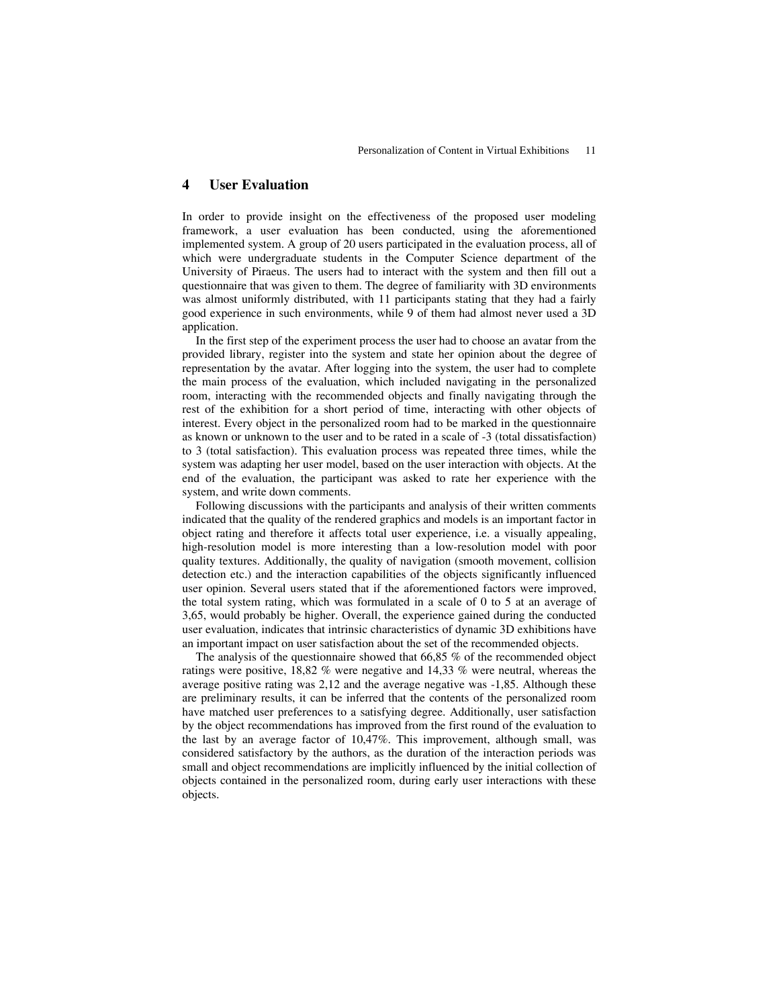## **4 User Evaluation**

In order to provide insight on the effectiveness of the proposed user modeling framework, a user evaluation has been conducted, using the aforementioned implemented system. A group of 20 users participated in the evaluation process, all of which were undergraduate students in the Computer Science department of the University of Piraeus. The users had to interact with the system and then fill out a questionnaire that was given to them. The degree of familiarity with 3D environments was almost uniformly distributed, with 11 participants stating that they had a fairly good experience in such environments, while 9 of them had almost never used a 3D application.

In the first step of the experiment process the user had to choose an avatar from the provided library, register into the system and state her opinion about the degree of representation by the avatar. After logging into the system, the user had to complete the main process of the evaluation, which included navigating in the personalized room, interacting with the recommended objects and finally navigating through the rest of the exhibition for a short period of time, interacting with other objects of interest. Every object in the personalized room had to be marked in the questionnaire as known or unknown to the user and to be rated in a scale of -3 (total dissatisfaction) to 3 (total satisfaction). This evaluation process was repeated three times, while the system was adapting her user model, based on the user interaction with objects. At the end of the evaluation, the participant was asked to rate her experience with the system, and write down comments.

Following discussions with the participants and analysis of their written comments indicated that the quality of the rendered graphics and models is an important factor in object rating and therefore it affects total user experience, i.e. a visually appealing, high-resolution model is more interesting than a low-resolution model with poor quality textures. Additionally, the quality of navigation (smooth movement, collision detection etc.) and the interaction capabilities of the objects significantly influenced user opinion. Several users stated that if the aforementioned factors were improved, the total system rating, which was formulated in a scale of 0 to 5 at an average of 3,65, would probably be higher. Overall, the experience gained during the conducted user evaluation, indicates that intrinsic characteristics of dynamic 3D exhibitions have an important impact on user satisfaction about the set of the recommended objects.

The analysis of the questionnaire showed that 66,85 % of the recommended object ratings were positive, 18,82 % were negative and 14,33 % were neutral, whereas the average positive rating was 2,12 and the average negative was -1,85. Although these are preliminary results, it can be inferred that the contents of the personalized room have matched user preferences to a satisfying degree. Additionally, user satisfaction by the object recommendations has improved from the first round of the evaluation to the last by an average factor of 10,47%. This improvement, although small, was considered satisfactory by the authors, as the duration of the interaction periods was small and object recommendations are implicitly influenced by the initial collection of objects contained in the personalized room, during early user interactions with these objects.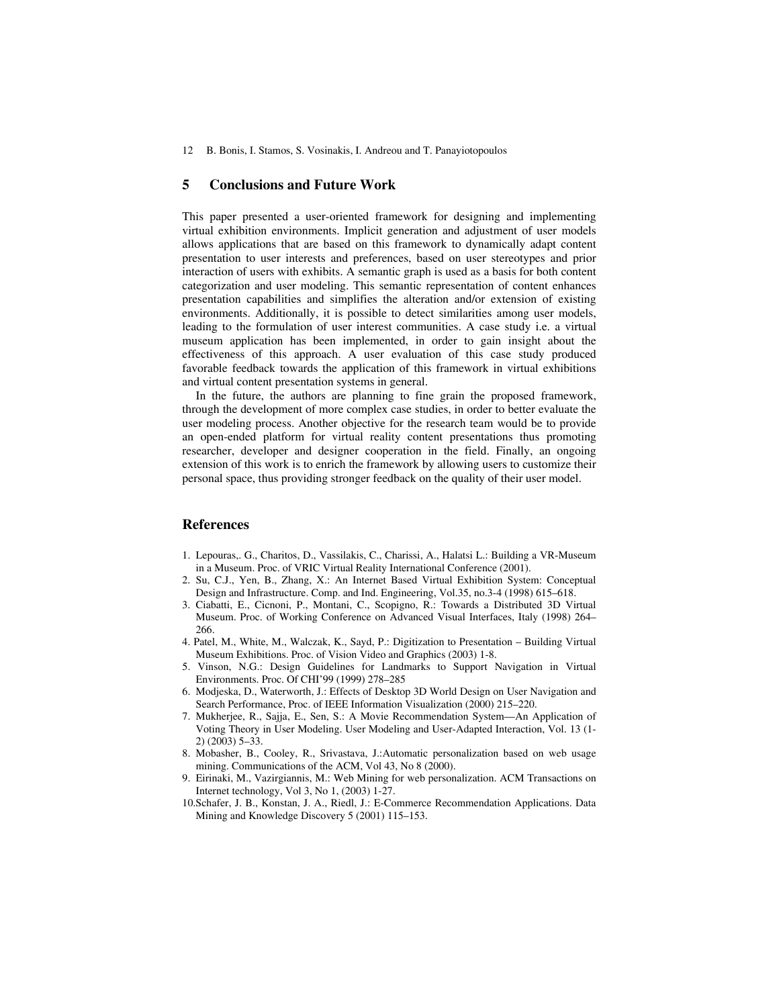## **5 Conclusions and Future Work**

This paper presented a user-oriented framework for designing and implementing virtual exhibition environments. Implicit generation and adjustment of user models allows applications that are based on this framework to dynamically adapt content presentation to user interests and preferences, based on user stereotypes and prior interaction of users with exhibits. A semantic graph is used as a basis for both content categorization and user modeling. This semantic representation of content enhances presentation capabilities and simplifies the alteration and/or extension of existing environments. Additionally, it is possible to detect similarities among user models, leading to the formulation of user interest communities. A case study i.e. a virtual museum application has been implemented, in order to gain insight about the effectiveness of this approach. A user evaluation of this case study produced favorable feedback towards the application of this framework in virtual exhibitions and virtual content presentation systems in general.

In the future, the authors are planning to fine grain the proposed framework, through the development of more complex case studies, in order to better evaluate the user modeling process. Another objective for the research team would be to provide an open-ended platform for virtual reality content presentations thus promoting researcher, developer and designer cooperation in the field. Finally, an ongoing extension of this work is to enrich the framework by allowing users to customize their personal space, thus providing stronger feedback on the quality of their user model.

## **References**

- 1. Lepouras,. G., Charitos, D., Vassilakis, C., Charissi, A., Halatsi L.: Building a VR-Museum in a Museum. Proc. of VRIC Virtual Reality International Conference (2001).
- 2. Su, C.J., Yen, B., Zhang, X.: An Internet Based Virtual Exhibition System: Conceptual Design and Infrastructure. Comp. and Ind. Engineering, Vol.35, no.3-4 (1998) 615–618.
- 3. Ciabatti, E., Cicnoni, P., Montani, C., Scopigno, R.: Towards a Distributed 3D Virtual Museum. Proc. of Working Conference on Advanced Visual Interfaces, Italy (1998) 264– 266.
- 4. Patel, M., White, M., Walczak, K., Sayd, P.: Digitization to Presentation Building Virtual Museum Exhibitions. Proc. of Vision Video and Graphics (2003) 1-8.
- 5. Vinson, N.G.: Design Guidelines for Landmarks to Support Navigation in Virtual Environments. Proc. Of CHI'99 (1999) 278–285
- 6. Modjeska, D., Waterworth, J.: Effects of Desktop 3D World Design on User Navigation and Search Performance, Proc. of IEEE Information Visualization (2000) 215–220.
- 7. Mukherjee, R., Sajja, E., Sen, S.: A Movie Recommendation System—An Application of Voting Theory in User Modeling. User Modeling and User-Adapted Interaction, Vol. 13 (1- 2) (2003) 5–33.
- 8. Mobasher, B., Cooley, R., Srivastava, J.:Automatic personalization based on web usage mining. Communications of the ACM, Vol 43, No 8 (2000).
- 9. Eirinaki, M., Vazirgiannis, M.: Web Mining for web personalization. ACM Transactions on Internet technology, Vol 3, No 1, (2003) 1-27.
- 10.Schafer, J. B., Konstan, J. A., Riedl, J.: E-Commerce Recommendation Applications. Data Mining and Knowledge Discovery 5 (2001) 115–153.